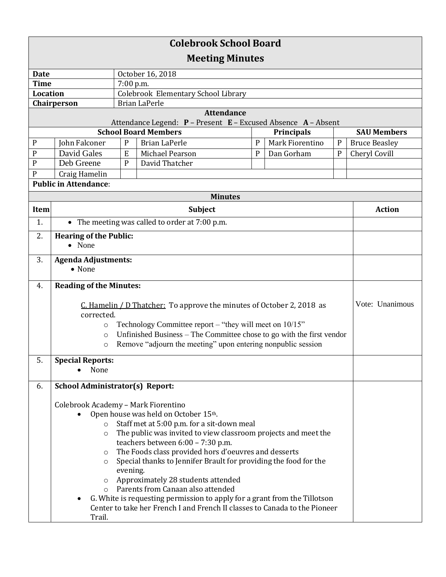| <b>Colebrook School Board</b> |                                                                                                                                                |              |                                                                                    |   |  |                   |             |                      |
|-------------------------------|------------------------------------------------------------------------------------------------------------------------------------------------|--------------|------------------------------------------------------------------------------------|---|--|-------------------|-------------|----------------------|
| <b>Meeting Minutes</b>        |                                                                                                                                                |              |                                                                                    |   |  |                   |             |                      |
| <b>Date</b>                   |                                                                                                                                                |              | October 16, 2018                                                                   |   |  |                   |             |                      |
| <b>Time</b>                   |                                                                                                                                                | 7:00 p.m.    |                                                                                    |   |  |                   |             |                      |
| <b>Location</b>               |                                                                                                                                                |              | Colebrook Elementary School Library                                                |   |  |                   |             |                      |
|                               | Chairperson                                                                                                                                    |              | <b>Brian LaPerle</b>                                                               |   |  |                   |             |                      |
|                               |                                                                                                                                                |              | <b>Attendance</b><br>Attendance Legend: P - Present E - Excused Absence A - Absent |   |  |                   |             |                      |
|                               |                                                                                                                                                |              | <b>School Board Members</b>                                                        |   |  | <b>Principals</b> |             | <b>SAU Members</b>   |
| $\mathbf{P}$                  | John Falconer                                                                                                                                  | $\mathbf P$  | <b>Brian LaPerle</b>                                                               | P |  | Mark Fiorentino   | $\mathbf P$ | <b>Bruce Beasley</b> |
| P                             | <b>David Gales</b>                                                                                                                             | ${\bf E}$    | Michael Pearson                                                                    | P |  | Dan Gorham        | ${\bf P}$   | Cheryl Covill        |
| $\mathbf P$                   | Deb Greene                                                                                                                                     | $\mathsf{P}$ | David Thatcher                                                                     |   |  |                   |             |                      |
| P                             | Craig Hamelin                                                                                                                                  |              |                                                                                    |   |  |                   |             |                      |
|                               | <b>Public in Attendance:</b>                                                                                                                   |              |                                                                                    |   |  |                   |             |                      |
|                               |                                                                                                                                                |              | <b>Minutes</b>                                                                     |   |  |                   |             |                      |
| Item                          |                                                                                                                                                |              | Subject                                                                            |   |  |                   |             | <b>Action</b>        |
| 1.                            |                                                                                                                                                |              | • The meeting was called to order at 7:00 p.m.                                     |   |  |                   |             |                      |
| 2.                            | <b>Hearing of the Public:</b><br>• None                                                                                                        |              |                                                                                    |   |  |                   |             |                      |
| 3.                            | <b>Agenda Adjustments:</b><br>• None                                                                                                           |              |                                                                                    |   |  |                   |             |                      |
| 4.                            | <b>Reading of the Minutes:</b>                                                                                                                 |              |                                                                                    |   |  |                   |             |                      |
|                               |                                                                                                                                                |              |                                                                                    |   |  |                   |             |                      |
|                               | corrected.                                                                                                                                     |              | C. Hamelin / D Thatcher: To approve the minutes of October 2, 2018 as              |   |  |                   |             | Vote: Unanimous      |
|                               |                                                                                                                                                |              |                                                                                    |   |  |                   |             |                      |
|                               | Technology Committee report – "they will meet on $10/15$ "<br>$\circ$<br>Unfinished Business – The Committee chose to go with the first vendor |              |                                                                                    |   |  |                   |             |                      |
|                               | $\circ$<br>Remove "adjourn the meeting" upon entering nonpublic session<br>$\circ$                                                             |              |                                                                                    |   |  |                   |             |                      |
|                               |                                                                                                                                                |              |                                                                                    |   |  |                   |             |                      |
| 5.                            | <b>Special Reports:</b><br>None                                                                                                                |              |                                                                                    |   |  |                   |             |                      |
|                               |                                                                                                                                                |              |                                                                                    |   |  |                   |             |                      |
| 6.                            | <b>School Administrator(s) Report:</b>                                                                                                         |              |                                                                                    |   |  |                   |             |                      |
|                               | Colebrook Academy - Mark Fiorentino                                                                                                            |              |                                                                                    |   |  |                   |             |                      |
|                               |                                                                                                                                                |              | Open house was held on October 15th.                                               |   |  |                   |             |                      |
|                               | Staff met at 5:00 p.m. for a sit-down meal<br>$\circ$                                                                                          |              |                                                                                    |   |  |                   |             |                      |
|                               | The public was invited to view classroom projects and meet the<br>$\circ$                                                                      |              |                                                                                    |   |  |                   |             |                      |
|                               | teachers between 6:00 - 7:30 p.m.                                                                                                              |              |                                                                                    |   |  |                   |             |                      |
|                               | The Foods class provided hors d'oeuvres and desserts<br>$\circ$                                                                                |              |                                                                                    |   |  |                   |             |                      |
|                               | Special thanks to Jennifer Brault for providing the food for the<br>$\circ$                                                                    |              |                                                                                    |   |  |                   |             |                      |
|                               | evening.<br>Approximately 28 students attended<br>$\circ$                                                                                      |              |                                                                                    |   |  |                   |             |                      |
|                               | Parents from Canaan also attended<br>$\circ$                                                                                                   |              |                                                                                    |   |  |                   |             |                      |
|                               | G. White is requesting permission to apply for a grant from the Tillotson<br>٠                                                                 |              |                                                                                    |   |  |                   |             |                      |
|                               | Center to take her French I and French II classes to Canada to the Pioneer                                                                     |              |                                                                                    |   |  |                   |             |                      |
|                               | Trail.                                                                                                                                         |              |                                                                                    |   |  |                   |             |                      |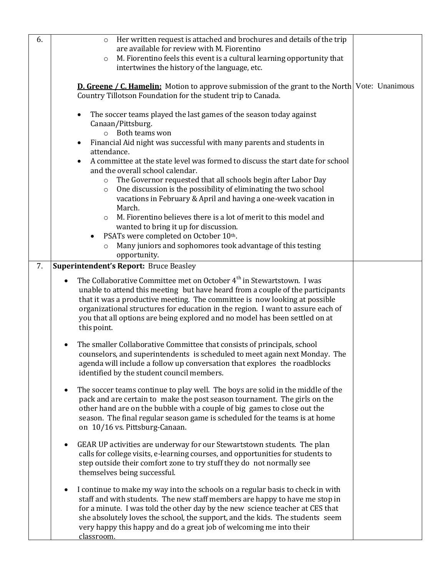| 6. | Her written request is attached and brochures and details of the trip<br>$\circ$<br>are available for review with M. Fiorentino<br>M. Fiorentino feels this event is a cultural learning opportunity that<br>$\circ$<br>intertwines the history of the language, etc.                                                                                                                                                                                                                                             |  |
|----|-------------------------------------------------------------------------------------------------------------------------------------------------------------------------------------------------------------------------------------------------------------------------------------------------------------------------------------------------------------------------------------------------------------------------------------------------------------------------------------------------------------------|--|
|    | <b>D. Greene / C. Hamelin:</b> Motion to approve submission of the grant to the North Vote: Unanimous<br>Country Tillotson Foundation for the student trip to Canada.                                                                                                                                                                                                                                                                                                                                             |  |
|    | The soccer teams played the last games of the season today against<br>$\bullet$<br>Canaan/Pittsburg.<br>o Both teams won<br>Financial Aid night was successful with many parents and students in<br>$\bullet$<br>attendance.<br>A committee at the state level was formed to discuss the start date for school<br>٠<br>and the overall school calendar.<br>The Governor requested that all schools begin after Labor Day<br>$\circ$<br>One discussion is the possibility of eliminating the two school<br>$\circ$ |  |
|    | vacations in February & April and having a one-week vacation in<br>March.<br>M. Fiorentino believes there is a lot of merit to this model and<br>$\circ$<br>wanted to bring it up for discussion.<br>PSATs were completed on October 10th.<br>$\bullet$<br>Many juniors and sophomores took advantage of this testing<br>$\circ$<br>opportunity.                                                                                                                                                                  |  |
| 7. | <b>Superintendent's Report: Bruce Beasley</b>                                                                                                                                                                                                                                                                                                                                                                                                                                                                     |  |
|    | The Collaborative Committee met on October 4 <sup>th</sup> in Stewartstown. I was<br>unable to attend this meeting but have heard from a couple of the participants<br>that it was a productive meeting. The committee is now looking at possible<br>organizational structures for education in the region. I want to assure each of<br>you that all options are being explored and no model has been settled on at<br>this point.                                                                                |  |
|    | The smaller Collaborative Committee that consists of principals, school<br>$\bullet$<br>counselors, and superintendents is scheduled to meet again next Monday. The<br>agenda will include a follow up conversation that explores the roadblocks<br>identified by the student council members.                                                                                                                                                                                                                    |  |
|    | The soccer teams continue to play well. The boys are solid in the middle of the<br>$\bullet$<br>pack and are certain to make the post season tournament. The girls on the<br>other hand are on the bubble with a couple of big games to close out the<br>season. The final regular season game is scheduled for the teams is at home<br>on 10/16 vs. Pittsburg-Canaan.                                                                                                                                            |  |
|    | GEAR UP activities are underway for our Stewartstown students. The plan<br>$\bullet$<br>calls for college visits, e-learning courses, and opportunities for students to<br>step outside their comfort zone to try stuff they do not normally see<br>themselves being successful.                                                                                                                                                                                                                                  |  |
|    | I continue to make my way into the schools on a regular basis to check in with<br>٠<br>staff and with students. The new staff members are happy to have me stop in<br>for a minute. I was told the other day by the new science teacher at CES that<br>she absolutely loves the school, the support, and the kids. The students seem<br>very happy this happy and do a great job of welcoming me into their<br>classroom.                                                                                         |  |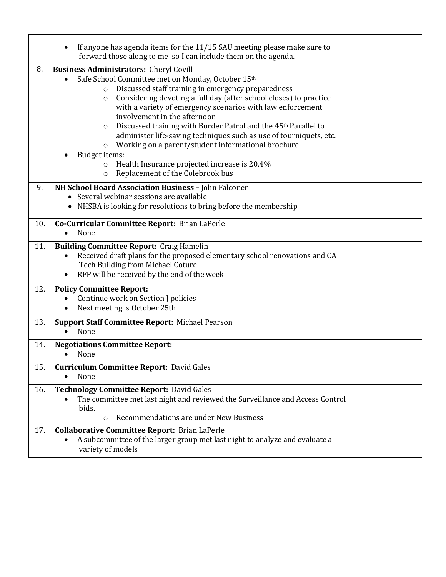|     | If anyone has agenda items for the 11/15 SAU meeting please make sure to<br>٠<br>forward those along to me so I can include them on the agenda.                                                                                                                                                                                                                                                                                                                                                                                                                                                                                                             |  |
|-----|-------------------------------------------------------------------------------------------------------------------------------------------------------------------------------------------------------------------------------------------------------------------------------------------------------------------------------------------------------------------------------------------------------------------------------------------------------------------------------------------------------------------------------------------------------------------------------------------------------------------------------------------------------------|--|
| 8.  | <b>Business Administrators: Cheryl Covill</b>                                                                                                                                                                                                                                                                                                                                                                                                                                                                                                                                                                                                               |  |
|     | Safe School Committee met on Monday, October 15th<br>Discussed staff training in emergency preparedness<br>$\circ$<br>Considering devoting a full day (after school closes) to practice<br>$\circ$<br>with a variety of emergency scenarios with law enforcement<br>involvement in the afternoon<br>Discussed training with Border Patrol and the 45 <sup>th</sup> Parallel to<br>$\circ$<br>administer life-saving techniques such as use of tourniquets, etc.<br>Working on a parent/student informational brochure<br>$\circ$<br>Budget items:<br>Health Insurance projected increase is 20.4%<br>$\circ$<br>Replacement of the Colebrook bus<br>$\circ$ |  |
| 9.  | NH School Board Association Business - John Falconer                                                                                                                                                                                                                                                                                                                                                                                                                                                                                                                                                                                                        |  |
|     | • Several webinar sessions are available                                                                                                                                                                                                                                                                                                                                                                                                                                                                                                                                                                                                                    |  |
|     | • NHSBA is looking for resolutions to bring before the membership                                                                                                                                                                                                                                                                                                                                                                                                                                                                                                                                                                                           |  |
| 10. | Co-Curricular Committee Report: Brian LaPerle                                                                                                                                                                                                                                                                                                                                                                                                                                                                                                                                                                                                               |  |
|     | None<br>$\bullet$                                                                                                                                                                                                                                                                                                                                                                                                                                                                                                                                                                                                                                           |  |
| 11. | <b>Building Committee Report: Craig Hamelin</b><br>Received draft plans for the proposed elementary school renovations and CA<br>Tech Building from Michael Coture<br>RFP will be received by the end of the week<br>$\bullet$                                                                                                                                                                                                                                                                                                                                                                                                                              |  |
| 12. | <b>Policy Committee Report:</b><br>Continue work on Section J policies<br>Next meeting is October 25th<br>$\bullet$                                                                                                                                                                                                                                                                                                                                                                                                                                                                                                                                         |  |
| 13. | Support Staff Committee Report: Michael Pearson<br>None<br>$\bullet$                                                                                                                                                                                                                                                                                                                                                                                                                                                                                                                                                                                        |  |
| 14. | <b>Negotiations Committee Report:</b><br>None                                                                                                                                                                                                                                                                                                                                                                                                                                                                                                                                                                                                               |  |
| 15. | <b>Curriculum Committee Report: David Gales</b>                                                                                                                                                                                                                                                                                                                                                                                                                                                                                                                                                                                                             |  |
|     | None<br>$\bullet$                                                                                                                                                                                                                                                                                                                                                                                                                                                                                                                                                                                                                                           |  |
| 16. | <b>Technology Committee Report: David Gales</b><br>The committee met last night and reviewed the Surveillance and Access Control<br>$\bullet$<br>bids.<br>Recommendations are under New Business<br>$\circ$                                                                                                                                                                                                                                                                                                                                                                                                                                                 |  |
| 17. | <b>Collaborative Committee Report: Brian LaPerle</b>                                                                                                                                                                                                                                                                                                                                                                                                                                                                                                                                                                                                        |  |
|     | A subcommittee of the larger group met last night to analyze and evaluate a<br>variety of models                                                                                                                                                                                                                                                                                                                                                                                                                                                                                                                                                            |  |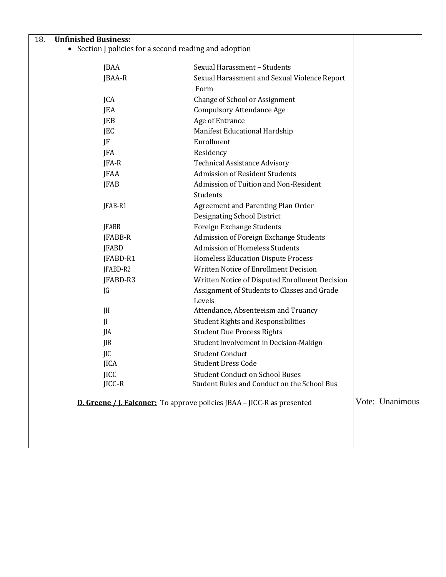| 18. | <b>Unfinished Business:</b>                                                    |                                                                                       |  |                 |
|-----|--------------------------------------------------------------------------------|---------------------------------------------------------------------------------------|--|-----------------|
|     | • Section J policies for a second reading and adoption                         |                                                                                       |  |                 |
|     | JBAA                                                                           | Sexual Harassment - Students                                                          |  |                 |
|     | JBAA-R                                                                         | Sexual Harassment and Sexual Violence Report                                          |  |                 |
|     |                                                                                | Form                                                                                  |  |                 |
|     | JCA                                                                            | Change of School or Assignment                                                        |  |                 |
|     | JEA                                                                            | <b>Compulsory Attendance Age</b>                                                      |  |                 |
|     | JEB                                                                            | Age of Entrance                                                                       |  |                 |
|     | JEC                                                                            | Manifest Educational Hardship                                                         |  |                 |
|     | JF                                                                             | Enrollment                                                                            |  |                 |
|     | JFA                                                                            | Residency                                                                             |  |                 |
|     | JFA-R                                                                          | <b>Technical Assistance Advisory</b>                                                  |  |                 |
|     | JFAA                                                                           | <b>Admission of Resident Students</b>                                                 |  |                 |
|     | <b>JFAB</b>                                                                    | Admission of Tuition and Non-Resident                                                 |  |                 |
|     |                                                                                | Students                                                                              |  |                 |
|     | JFAB-R1                                                                        | Agreement and Parenting Plan Order                                                    |  |                 |
|     |                                                                                | <b>Designating School District</b>                                                    |  |                 |
|     | <b>JFABB</b>                                                                   | Foreign Exchange Students                                                             |  |                 |
|     | JFABB-R                                                                        | Admission of Foreign Exchange Students                                                |  |                 |
|     | <b>JFABD</b>                                                                   | <b>Admission of Homeless Students</b>                                                 |  |                 |
|     | JFABD-R1                                                                       | Homeless Education Dispute Process                                                    |  |                 |
|     | JFABD-R2                                                                       | Written Notice of Enrollment Decision                                                 |  |                 |
|     | JFABD-R3                                                                       | Written Notice of Disputed Enrollment Decision                                        |  |                 |
|     | JG                                                                             | Assignment of Students to Classes and Grade                                           |  |                 |
|     |                                                                                | Levels                                                                                |  |                 |
|     | JH                                                                             | Attendance, Absenteeism and Truancy                                                   |  |                 |
|     | JI                                                                             | <b>Student Rights and Responsibilities</b>                                            |  |                 |
|     | JIA                                                                            | <b>Student Due Process Rights</b>                                                     |  |                 |
|     | JIB                                                                            | Student Involvement in Decision-Makign                                                |  |                 |
|     | JIC                                                                            | <b>Student Conduct</b>                                                                |  |                 |
|     | <b>JICA</b>                                                                    | <b>Student Dress Code</b>                                                             |  |                 |
|     | <b>JICC</b><br>JICC-R                                                          | <b>Student Conduct on School Buses</b><br>Student Rules and Conduct on the School Bus |  |                 |
|     |                                                                                |                                                                                       |  |                 |
|     | <b>D. Greene / J. Falconer:</b> To approve policies JBAA – JICC-R as presented |                                                                                       |  | Vote: Unanimous |
|     |                                                                                |                                                                                       |  |                 |
|     |                                                                                |                                                                                       |  |                 |
|     |                                                                                |                                                                                       |  |                 |
|     |                                                                                |                                                                                       |  |                 |